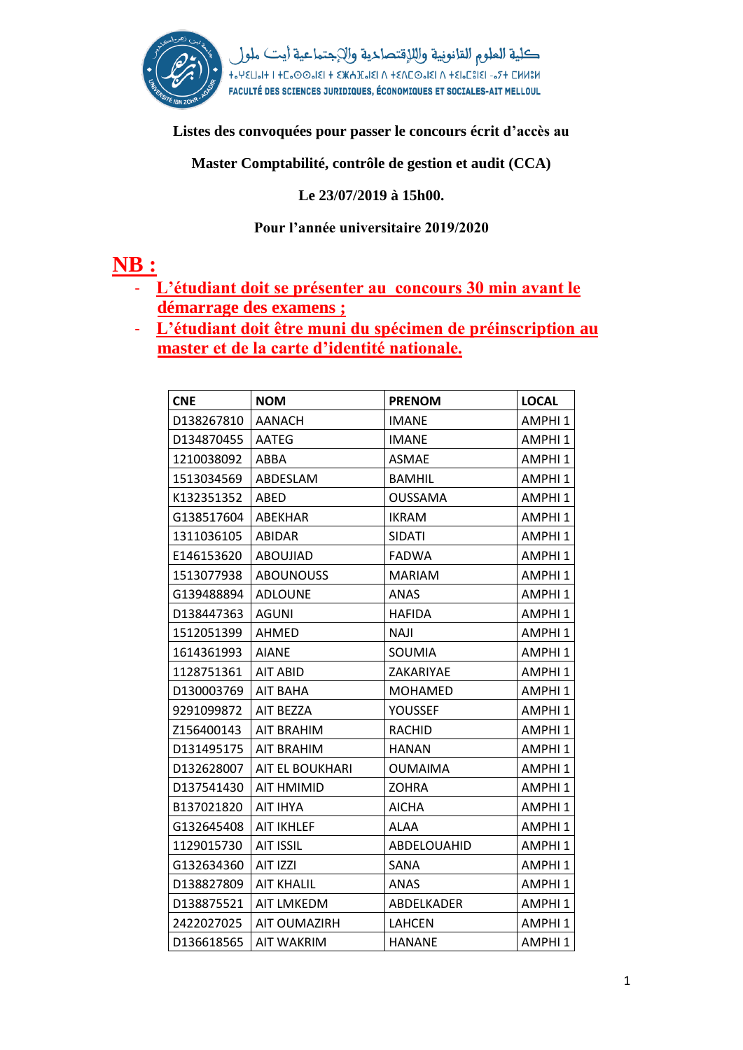

**Listes des convoquées pour passer le concours écrit d'accès au**

**Master Comptabilité, contrôle de gestion et audit (CCA)**

**Le 23/07/2019 à 15h00.**

## **Pour l'année universitaire 2019/2020**

## **NB :**

- **L'étudiant doit se présenter au concours 30 min avant le démarrage des examens ;**
- **L'étudiant doit être muni du spécimen de préinscription au master et de la carte d'identité nationale.**

| <b>CNE</b> | <b>NOM</b>        | <b>PRENOM</b>  | <b>LOCAL</b>       |
|------------|-------------------|----------------|--------------------|
| D138267810 | <b>AANACH</b>     | <b>IMANE</b>   | AMPHI <sub>1</sub> |
| D134870455 | <b>AATEG</b>      | <b>IMANE</b>   | AMPHI <sub>1</sub> |
| 1210038092 | ABBA              | <b>ASMAE</b>   | AMPHI <sub>1</sub> |
| 1513034569 | ABDESLAM          | <b>BAMHIL</b>  | AMPHI <sub>1</sub> |
| K132351352 | ABED              | <b>OUSSAMA</b> | AMPHI <sub>1</sub> |
| G138517604 | ABEKHAR           | <b>IKRAM</b>   | AMPHI <sub>1</sub> |
| 1311036105 | <b>ABIDAR</b>     | <b>SIDATI</b>  | AMPHI <sub>1</sub> |
| E146153620 | <b>ABOUJIAD</b>   | <b>FADWA</b>   | AMPHI <sub>1</sub> |
| 1513077938 | <b>ABOUNOUSS</b>  | <b>MARIAM</b>  | AMPHI <sub>1</sub> |
| G139488894 | <b>ADLOUNE</b>    | ANAS           | AMPHI <sub>1</sub> |
| D138447363 | <b>AGUNI</b>      | <b>HAFIDA</b>  | AMPHI <sub>1</sub> |
| 1512051399 | <b>AHMED</b>      | <b>NAJI</b>    | AMPHI <sub>1</sub> |
| 1614361993 | <b>AIANE</b>      | SOUMIA         | AMPHI <sub>1</sub> |
| 1128751361 | AIT ABID          | ZAKARIYAE      | AMPHI <sub>1</sub> |
| D130003769 | <b>AIT BAHA</b>   | <b>MOHAMED</b> | AMPHI <sub>1</sub> |
| 9291099872 | AIT BEZZA         | <b>YOUSSEF</b> | AMPHI <sub>1</sub> |
| Z156400143 | <b>AIT BRAHIM</b> | <b>RACHID</b>  | AMPHI <sub>1</sub> |
| D131495175 | <b>AIT BRAHIM</b> | <b>HANAN</b>   | AMPHI <sub>1</sub> |
| D132628007 | AIT EL BOUKHARI   | <b>OUMAIMA</b> | AMPHI <sub>1</sub> |
| D137541430 | AIT HMIMID        | ZOHRA          | AMPHI <sub>1</sub> |
| B137021820 | AIT IHYA          | <b>AICHA</b>   | AMPHI <sub>1</sub> |
| G132645408 | <b>AIT IKHLEF</b> | <b>ALAA</b>    | AMPHI <sub>1</sub> |
| 1129015730 | <b>AIT ISSIL</b>  | ABDELOUAHID    | AMPHI <sub>1</sub> |
| G132634360 | AIT IZZI          | SANA           | AMPHI <sub>1</sub> |
| D138827809 | <b>AIT KHALIL</b> | <b>ANAS</b>    | AMPHI <sub>1</sub> |
| D138875521 | <b>AIT LMKEDM</b> | ABDELKADER     | AMPHI <sub>1</sub> |
| 2422027025 | AIT OUMAZIRH      | <b>LAHCEN</b>  | AMPHI <sub>1</sub> |
| D136618565 | <b>AIT WAKRIM</b> | <b>HANANE</b>  | AMPHI 1            |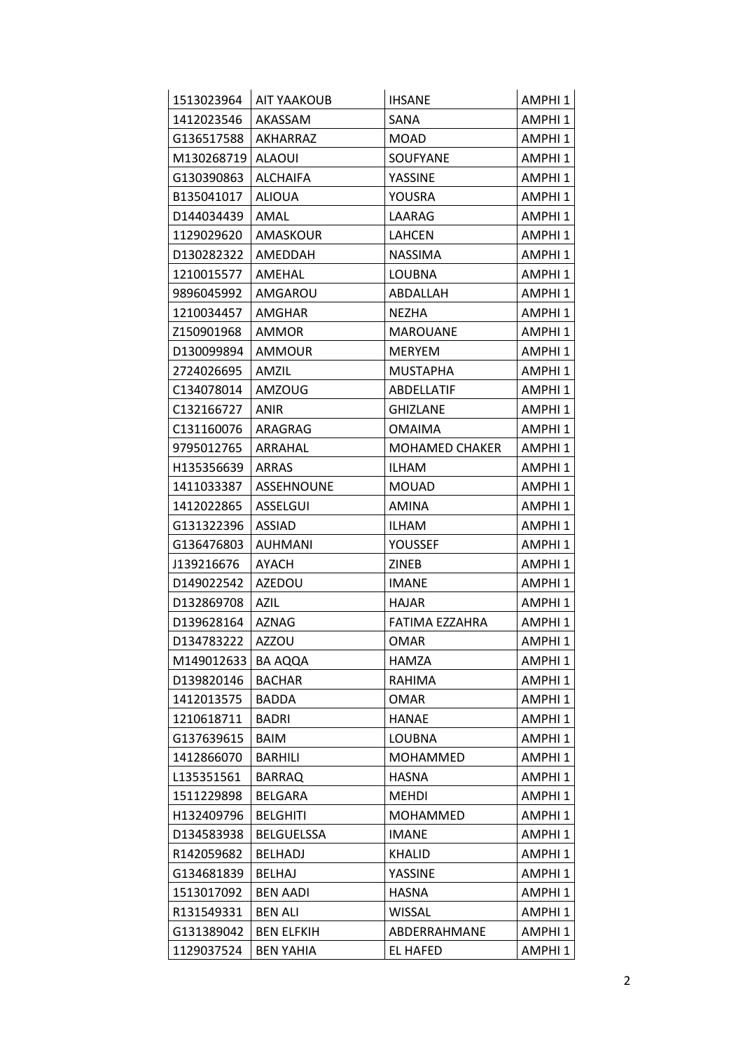| 1513023964 | <b>AIT YAAKOUB</b> | <b>IHSANE</b>         | AMPHI 1            |
|------------|--------------------|-----------------------|--------------------|
| 1412023546 | AKASSAM            | SANA                  | AMPHI 1            |
| G136517588 | AKHARRAZ           | MOAD                  | AMPHI 1            |
| M130268719 | ALAOUI             | <b>SOUFYANE</b>       | AMPHI 1            |
| G130390863 | <b>ALCHAIFA</b>    | <b>YASSINE</b>        | AMPHI <sub>1</sub> |
| B135041017 | <b>ALIOUA</b>      | YOUSRA                | AMPHI 1            |
| D144034439 | AMAL               | LAARAG                | AMPHI <sub>1</sub> |
| 1129029620 | AMASKOUR           | LAHCEN                | AMPHI 1            |
| D130282322 | AMEDDAH            | <b>NASSIMA</b>        | AMPHI 1            |
| 1210015577 | AMEHAL             | <b>LOUBNA</b>         | AMPHI <sub>1</sub> |
| 9896045992 | AMGAROU            | ABDALLAH              | AMPHI 1            |
| 1210034457 | AMGHAR             | <b>NEZHA</b>          | AMPHI <sub>1</sub> |
| Z150901968 | AMMOR              | <b>MAROUANE</b>       | AMPHI <sub>1</sub> |
| D130099894 | AMMOUR             | <b>MERYEM</b>         | AMPHI 1            |
| 2724026695 | AMZIL              | <b>MUSTAPHA</b>       | AMPHI <sub>1</sub> |
| C134078014 | <b>AMZOUG</b>      | ABDELLATIF            | AMPHI 1            |
| C132166727 | <b>ANIR</b>        | <b>GHIZLANE</b>       | AMPHI <sub>1</sub> |
| C131160076 | ARAGRAG            | <b>OMAIMA</b>         | AMPHI 1            |
| 9795012765 | ARRAHAL            | <b>MOHAMED CHAKER</b> | AMPHI 1            |
| H135356639 | <b>ARRAS</b>       | ILHAM                 | AMPHI 1            |
| 1411033387 | <b>ASSEHNOUNE</b>  | <b>MOUAD</b>          | AMPHI 1            |
| 1412022865 | ASSELGUI           | <b>AMINA</b>          | AMPHI <sub>1</sub> |
| G131322396 | <b>ASSIAD</b>      | ILHAM                 | AMPHI 1            |
| G136476803 | <b>AUHMANI</b>     | YOUSSEF               | AMPHI <sub>1</sub> |
| J139216676 | AYACH              | ZINEB                 | AMPHI 1            |
| D149022542 | <b>AZEDOU</b>      | <b>IMANE</b>          | AMPHI 1            |
| D132869708 | <b>AZIL</b>        | <b>HAJAR</b>          | AMPHI <sub>1</sub> |
| D139628164 | <b>AZNAG</b>       | FATIMA EZZAHRA        | AMPHI 1            |
| D134783222 | <b>AZZOU</b>       | OMAR                  | AMPHI 1            |
| M149012633 | <b>BA AQQA</b>     | HAMZA                 | AMPHI 1            |
| D139820146 | <b>BACHAR</b>      | RAHIMA                | AMPHI <sub>1</sub> |
| 1412013575 | <b>BADDA</b>       | <b>OMAR</b>           | AMPHI <sub>1</sub> |
| 1210618711 | <b>BADRI</b>       | <b>HANAE</b>          | AMPHI 1            |
| G137639615 | <b>BAIM</b>        | <b>LOUBNA</b>         | AMPHI <sub>1</sub> |
| 1412866070 | <b>BARHILI</b>     | <b>MOHAMMED</b>       | AMPHI 1            |
| L135351561 | <b>BARRAQ</b>      | <b>HASNA</b>          | AMPHI 1            |
| 1511229898 | BELGARA            | <b>MEHDI</b>          | AMPHI 1            |
| H132409796 | <b>BELGHITI</b>    | <b>MOHAMMED</b>       | AMPHI 1            |
| D134583938 | <b>BELGUELSSA</b>  | <b>IMANE</b>          | AMPHI 1            |
| R142059682 | <b>BELHADJ</b>     | KHALID                | AMPHI 1            |
| G134681839 | <b>BELHAJ</b>      | YASSINE               | AMPHI <sub>1</sub> |
| 1513017092 | <b>BEN AADI</b>    | HASNA                 | AMPHI 1            |
| R131549331 | <b>BEN ALI</b>     | WISSAL                | AMPHI 1            |
| G131389042 | <b>BEN ELFKIH</b>  | ABDERRAHMANE          | AMPHI 1            |
| 1129037524 | <b>BEN YAHIA</b>   | EL HAFED              | AMPHI 1            |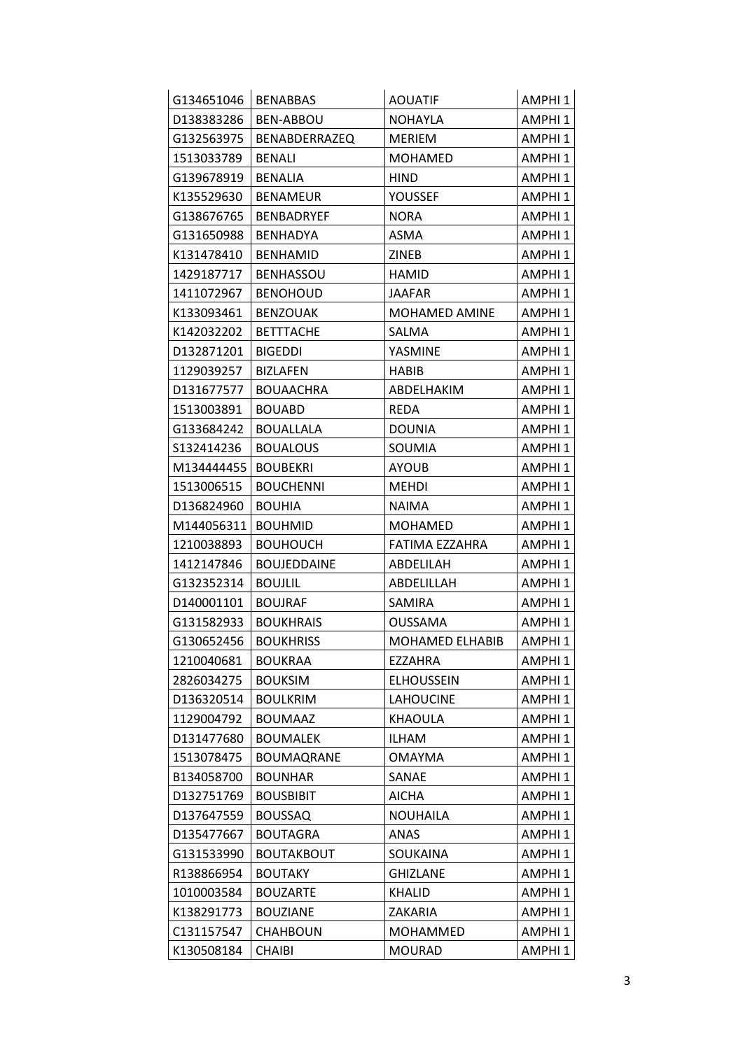| G134651046 | <b>BENABBAS</b>      | <b>AOUATIF</b>    | AMPHI 1            |
|------------|----------------------|-------------------|--------------------|
| D138383286 | BEN-ABBOU            | <b>NOHAYLA</b>    | AMPHI <sub>1</sub> |
| G132563975 | <b>BENABDERRAZEQ</b> | <b>MERIEM</b>     | AMPHI <sub>1</sub> |
| 1513033789 | <b>BENALI</b>        | <b>MOHAMED</b>    | AMPHI <sub>1</sub> |
| G139678919 | <b>BENALIA</b>       | <b>HIND</b>       | AMPHI <sub>1</sub> |
| K135529630 | <b>BENAMEUR</b>      | YOUSSEF           | AMPHI <sub>1</sub> |
| G138676765 | <b>BENBADRYEF</b>    | <b>NORA</b>       | AMPHI <sub>1</sub> |
| G131650988 | BENHADYA             | ASMA              | AMPHI <sub>1</sub> |
| K131478410 | <b>BENHAMID</b>      | <b>ZINEB</b>      | AMPHI <sub>1</sub> |
| 1429187717 | <b>BENHASSOU</b>     | HAMID             | AMPHI <sub>1</sub> |
| 1411072967 | <b>BENOHOUD</b>      | <b>JAAFAR</b>     | AMPHI <sub>1</sub> |
| K133093461 | <b>BENZOUAK</b>      | MOHAMED AMINE     | AMPHI <sub>1</sub> |
| K142032202 | <b>BETTTACHE</b>     | SALMA             | AMPHI <sub>1</sub> |
| D132871201 | <b>BIGEDDI</b>       | YASMINE           | AMPHI <sub>1</sub> |
| 1129039257 | <b>BIZLAFEN</b>      | HABIB             | AMPHI <sub>1</sub> |
| D131677577 | <b>BOUAACHRA</b>     | ABDELHAKIM        | AMPHI <sub>1</sub> |
| 1513003891 | <b>BOUABD</b>        | <b>REDA</b>       | AMPHI <sub>1</sub> |
| G133684242 | <b>BOUALLALA</b>     | <b>DOUNIA</b>     | AMPHI <sub>1</sub> |
| S132414236 | <b>BOUALOUS</b>      | SOUMIA            | AMPHI <sub>1</sub> |
| M134444455 | <b>BOUBEKRI</b>      | <b>AYOUB</b>      | AMPHI <sub>1</sub> |
| 1513006515 | <b>BOUCHENNI</b>     | <b>MEHDI</b>      | AMPHI <sub>1</sub> |
| D136824960 | <b>BOUHIA</b>        | <b>NAIMA</b>      | AMPHI <sub>1</sub> |
| M144056311 | <b>BOUHMID</b>       | MOHAMED           | AMPHI <sub>1</sub> |
| 1210038893 | <b>BOUHOUCH</b>      | FATIMA EZZAHRA    | AMPHI <sub>1</sub> |
| 1412147846 | <b>BOUJEDDAINE</b>   | ABDELILAH         | AMPHI <sub>1</sub> |
| G132352314 | <b>BOUJLIL</b>       | ABDELILLAH        | AMPHI <sub>1</sub> |
| D140001101 | <b>BOUJRAF</b>       | SAMIRA            | AMPHI <sub>1</sub> |
| G131582933 | <b>BOUKHRAIS</b>     | OUSSAMA           | AMPHI <sub>1</sub> |
| G130652456 | <b>BOUKHRISS</b>     | MOHAMED ELHABIB   | AMPHI <sub>1</sub> |
| 1210040681 | <b>BOUKRAA</b>       | EZZAHRA           | AMPHI <sub>1</sub> |
| 2826034275 | <b>BOUKSIM</b>       | <b>ELHOUSSEIN</b> | AMPHI <sub>1</sub> |
| D136320514 | <b>BOULKRIM</b>      | <b>LAHOUCINE</b>  | AMPHI <sub>1</sub> |
| 1129004792 | <b>BOUMAAZ</b>       | KHAOULA           | AMPHI <sub>1</sub> |
| D131477680 | <b>BOUMALEK</b>      | <b>ILHAM</b>      | AMPHI <sub>1</sub> |
| 1513078475 | <b>BOUMAQRANE</b>    | OMAYMA            | AMPHI <sub>1</sub> |
| B134058700 | <b>BOUNHAR</b>       | SANAE             | AMPHI <sub>1</sub> |
| D132751769 | <b>BOUSBIBIT</b>     | AICHA             | AMPHI <sub>1</sub> |
| D137647559 | <b>BOUSSAQ</b>       | <b>NOUHAILA</b>   | AMPHI <sub>1</sub> |
| D135477667 | <b>BOUTAGRA</b>      | ANAS              | AMPHI <sub>1</sub> |
| G131533990 | <b>BOUTAKBOUT</b>    | SOUKAINA          | AMPHI <sub>1</sub> |
| R138866954 | <b>BOUTAKY</b>       | <b>GHIZLANE</b>   | AMPHI <sub>1</sub> |
| 1010003584 | <b>BOUZARTE</b>      | <b>KHALID</b>     | AMPHI <sub>1</sub> |
| K138291773 | <b>BOUZIANE</b>      | ZAKARIA           | AMPHI <sub>1</sub> |
| C131157547 | <b>CHAHBOUN</b>      | MOHAMMED          | AMPHI <sub>1</sub> |
| K130508184 | <b>CHAIBI</b>        | <b>MOURAD</b>     | AMPHI <sub>1</sub> |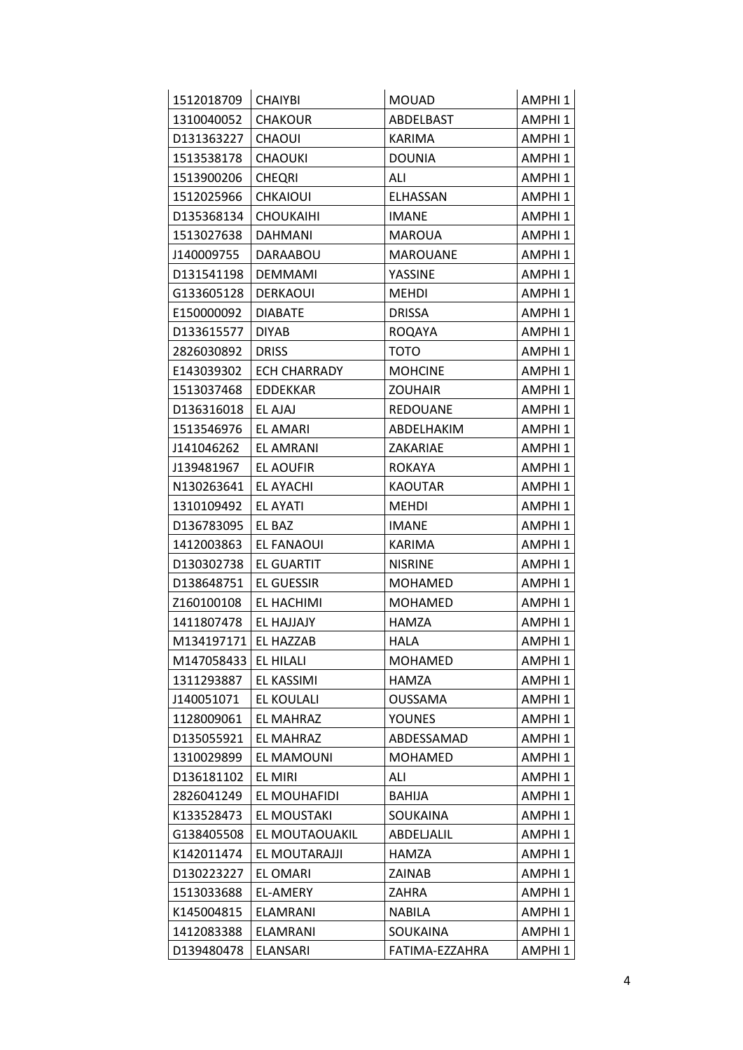| 1512018709 | <b>CHAIYBI</b>      | <b>MOUAD</b>    | AMPHI <sub>1</sub> |
|------------|---------------------|-----------------|--------------------|
| 1310040052 | <b>CHAKOUR</b>      | ABDELBAST       | AMPHI <sub>1</sub> |
| D131363227 | <b>CHAOUI</b>       | <b>KARIMA</b>   | AMPHI <sub>1</sub> |
| 1513538178 | <b>CHAOUKI</b>      | <b>DOUNIA</b>   | AMPHI <sub>1</sub> |
| 1513900206 | <b>CHEQRI</b>       | ALI             | AMPHI <sub>1</sub> |
| 1512025966 | <b>CHKAIOUI</b>     | <b>ELHASSAN</b> | AMPHI <sub>1</sub> |
| D135368134 | <b>CHOUKAIHI</b>    | <b>IMANE</b>    | AMPHI <sub>1</sub> |
| 1513027638 | <b>DAHMANI</b>      | <b>MAROUA</b>   | AMPHI <sub>1</sub> |
| J140009755 | DARAABOU            | <b>MAROUANE</b> | AMPHI <sub>1</sub> |
| D131541198 | <b>DEMMAMI</b>      | <b>YASSINE</b>  | AMPHI <sub>1</sub> |
| G133605128 | <b>DERKAOUI</b>     | <b>MEHDI</b>    | AMPHI <sub>1</sub> |
| E150000092 | <b>DIABATE</b>      | <b>DRISSA</b>   | AMPHI <sub>1</sub> |
| D133615577 | <b>DIYAB</b>        | <b>ROQAYA</b>   | AMPHI <sub>1</sub> |
| 2826030892 | <b>DRISS</b>        | <b>TOTO</b>     | AMPHI <sub>1</sub> |
| E143039302 | <b>ECH CHARRADY</b> | <b>MOHCINE</b>  | AMPHI <sub>1</sub> |
| 1513037468 | <b>EDDEKKAR</b>     | <b>ZOUHAIR</b>  | AMPHI <sub>1</sub> |
| D136316018 | EL AJAJ             | <b>REDOUANE</b> | AMPHI <sub>1</sub> |
| 1513546976 | <b>EL AMARI</b>     | ABDELHAKIM      | AMPHI <sub>1</sub> |
| J141046262 | EL AMRANI           | ZAKARIAE        | AMPHI <sub>1</sub> |
| J139481967 | EL AOUFIR           | <b>ROKAYA</b>   | AMPHI <sub>1</sub> |
| N130263641 | EL AYACHI           | <b>KAOUTAR</b>  | AMPHI <sub>1</sub> |
| 1310109492 | EL AYATI            | <b>MEHDI</b>    | AMPHI <sub>1</sub> |
| D136783095 | EL BAZ              | <b>IMANE</b>    | AMPHI <sub>1</sub> |
| 1412003863 | EL FANAOUI          | <b>KARIMA</b>   | AMPHI <sub>1</sub> |
| D130302738 | EL GUARTIT          | <b>NISRINE</b>  | AMPHI <sub>1</sub> |
| D138648751 | EL GUESSIR          | <b>MOHAMED</b>  | AMPHI <sub>1</sub> |
| Z160100108 | EL HACHIMI          | <b>MOHAMED</b>  | AMPHI <sub>1</sub> |
| 1411807478 | EL HAJJAJY          | HAMZA           | AMPHI <sub>1</sub> |
| M134197171 | EL HAZZAB           | HALA            | AMPHI <sub>1</sub> |
| M147058433 | EL HILALI           | <b>MOHAMED</b>  | AMPHI <sub>1</sub> |
| 1311293887 | EL KASSIMI          | HAMZA           | AMPHI <sub>1</sub> |
| J140051071 | EL KOULALI          | <b>OUSSAMA</b>  | AMPHI <sub>1</sub> |
| 1128009061 | EL MAHRAZ           | YOUNES          | AMPHI <sub>1</sub> |
| D135055921 | EL MAHRAZ           | ABDESSAMAD      | AMPHI <sub>1</sub> |
| 1310029899 | EL MAMOUNI          | <b>MOHAMED</b>  | AMPHI <sub>1</sub> |
| D136181102 | <b>EL MIRI</b>      | ALI             | AMPHI <sub>1</sub> |
| 2826041249 | EL MOUHAFIDI        | <b>BAHIJA</b>   | AMPHI <sub>1</sub> |
| K133528473 | EL MOUSTAKI         | SOUKAINA        | AMPHI <sub>1</sub> |
| G138405508 | EL MOUTAOUAKIL      | ABDELJALIL      | AMPHI <sub>1</sub> |
| K142011474 | EL MOUTARAJJI       | HAMZA           | AMPHI <sub>1</sub> |
| D130223227 | EL OMARI            | ZAINAB          | AMPHI <sub>1</sub> |
| 1513033688 | EL-AMERY            | ZAHRA           | AMPHI <sub>1</sub> |
| K145004815 | <b>ELAMRANI</b>     | <b>NABILA</b>   | AMPHI <sub>1</sub> |
| 1412083388 | ELAMRANI            | SOUKAINA        | AMPHI 1            |
| D139480478 | <b>ELANSARI</b>     | FATIMA-EZZAHRA  | AMPHI <sub>1</sub> |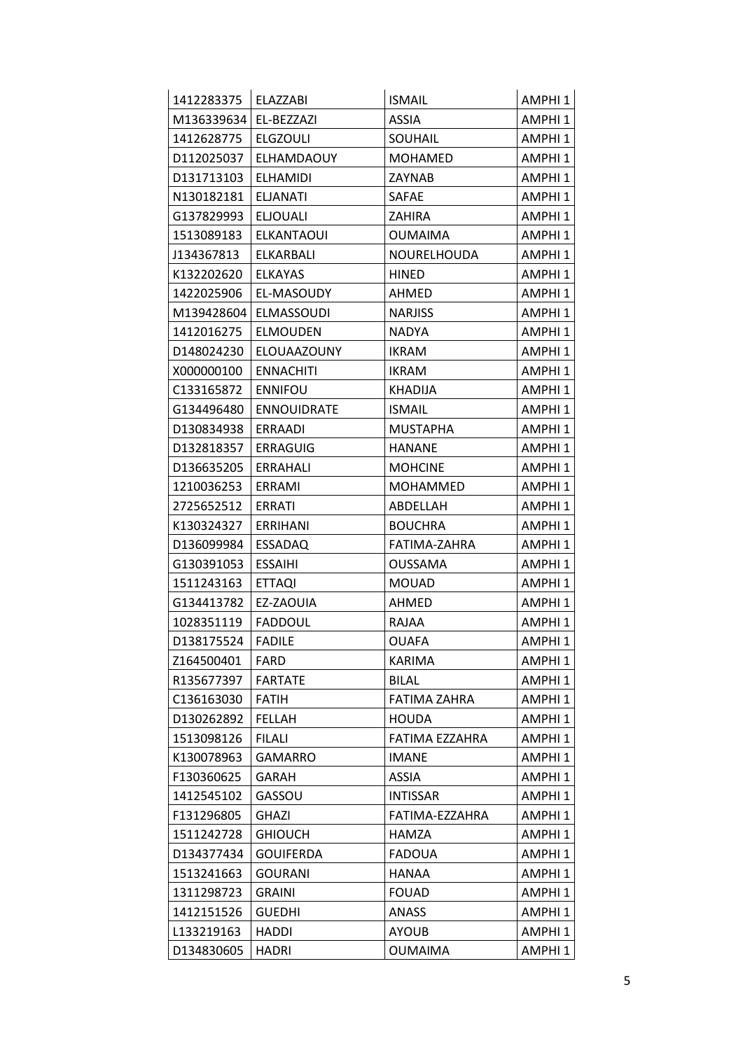| 1412283375 | <b>ELAZZABI</b>    | <b>ISMAIL</b>       | AMPHI <sub>1</sub> |
|------------|--------------------|---------------------|--------------------|
| M136339634 | EL-BEZZAZI         | <b>ASSIA</b>        | AMPHI <sub>1</sub> |
| 1412628775 | <b>ELGZOULI</b>    | <b>SOUHAIL</b>      | AMPHI <sub>1</sub> |
| D112025037 | <b>ELHAMDAOUY</b>  | <b>MOHAMED</b>      | AMPHI <sub>1</sub> |
| D131713103 | <b>ELHAMIDI</b>    | ZAYNAB              | AMPHI 1            |
| N130182181 | <b>ELJANATI</b>    | SAFAE               | AMPHI 1            |
| G137829993 | <b>ELJOUALI</b>    | <b>ZAHIRA</b>       | AMPHI <sub>1</sub> |
| 1513089183 | <b>ELKANTAOUI</b>  | <b>OUMAIMA</b>      | AMPHI <sub>1</sub> |
| J134367813 | <b>ELKARBALI</b>   | NOURELHOUDA         | AMPHI <sub>1</sub> |
| K132202620 | <b>ELKAYAS</b>     | <b>HINED</b>        | AMPHI <sub>1</sub> |
| 1422025906 | EL-MASOUDY         | AHMED               | AMPHI 1            |
| M139428604 | <b>ELMASSOUDI</b>  | <b>NARJISS</b>      | AMPHI <sub>1</sub> |
| 1412016275 | <b>ELMOUDEN</b>    | <b>NADYA</b>        | AMPHI <sub>1</sub> |
| D148024230 | ELOUAAZOUNY        | <b>IKRAM</b>        | AMPHI <sub>1</sub> |
| X000000100 | <b>ENNACHITI</b>   | <b>IKRAM</b>        | AMPHI <sub>1</sub> |
| C133165872 | <b>ENNIFOU</b>     | <b>KHADIJA</b>      | AMPHI <sub>1</sub> |
| G134496480 | <b>ENNOUIDRATE</b> | <b>ISMAIL</b>       | AMPHI <sub>1</sub> |
| D130834938 | <b>ERRAADI</b>     | <b>MUSTAPHA</b>     | AMPHI 1            |
| D132818357 | <b>ERRAGUIG</b>    | HANANE              | AMPHI <sub>1</sub> |
| D136635205 | ERRAHALI           | <b>MOHCINE</b>      | AMPHI 1            |
| 1210036253 | ERRAMI             | <b>MOHAMMED</b>     | AMPHI <sub>1</sub> |
| 2725652512 | ERRATI             | ABDELLAH            | AMPHI 1            |
| K130324327 | <b>ERRIHANI</b>    | <b>BOUCHRA</b>      | AMPHI <sub>1</sub> |
| D136099984 | <b>ESSADAQ</b>     | FATIMA-ZAHRA        | AMPHI <sub>1</sub> |
| G130391053 | <b>ESSAIHI</b>     | OUSSAMA             | AMPHI <sub>1</sub> |
| 1511243163 | <b>ETTAQI</b>      | <b>MOUAD</b>        | AMPHI <sub>1</sub> |
| G134413782 | EZ-ZAOUIA          | AHMED               | AMPHI <sub>1</sub> |
| 1028351119 | <b>FADDOUL</b>     | RAJAA               | AMPHI 1            |
| D138175524 | <b>FADILE</b>      | <b>OUAFA</b>        | AMPHI <sub>1</sub> |
| Z164500401 | FARD               | KARIMA              | AMPHI 1            |
| R135677397 | <b>FARTATE</b>     | <b>BILAL</b>        | AMPHI <sub>1</sub> |
| C136163030 | <b>FATIH</b>       | <b>FATIMA ZAHRA</b> | AMPHI 1            |
| D130262892 | <b>FELLAH</b>      | <b>HOUDA</b>        | AMPHI <sub>1</sub> |
| 1513098126 | <b>FILALI</b>      | FATIMA EZZAHRA      | AMPHI 1            |
| K130078963 | <b>GAMARRO</b>     | <b>IMANE</b>        | AMPHI 1            |
| F130360625 | GARAH              | <b>ASSIA</b>        | AMPHI <sub>1</sub> |
| 1412545102 | GASSOU             | <b>INTISSAR</b>     | AMPHI 1            |
| F131296805 | GHAZI              | FATIMA-EZZAHRA      | AMPHI <sub>1</sub> |
| 1511242728 | <b>GHIOUCH</b>     | HAMZA               | AMPHI 1            |
| D134377434 | <b>GOUIFERDA</b>   | <b>FADOUA</b>       | AMPHI 1            |
| 1513241663 | <b>GOURANI</b>     | HANAA               | AMPHI <sub>1</sub> |
| 1311298723 | <b>GRAINI</b>      | <b>FOUAD</b>        | AMPHI 1            |
| 1412151526 | <b>GUEDHI</b>      | ANASS               | AMPHI <sub>1</sub> |
| L133219163 | <b>HADDI</b>       | <b>AYOUB</b>        | AMPHI 1            |
| D134830605 | <b>HADRI</b>       | <b>OUMAIMA</b>      | AMPHI 1            |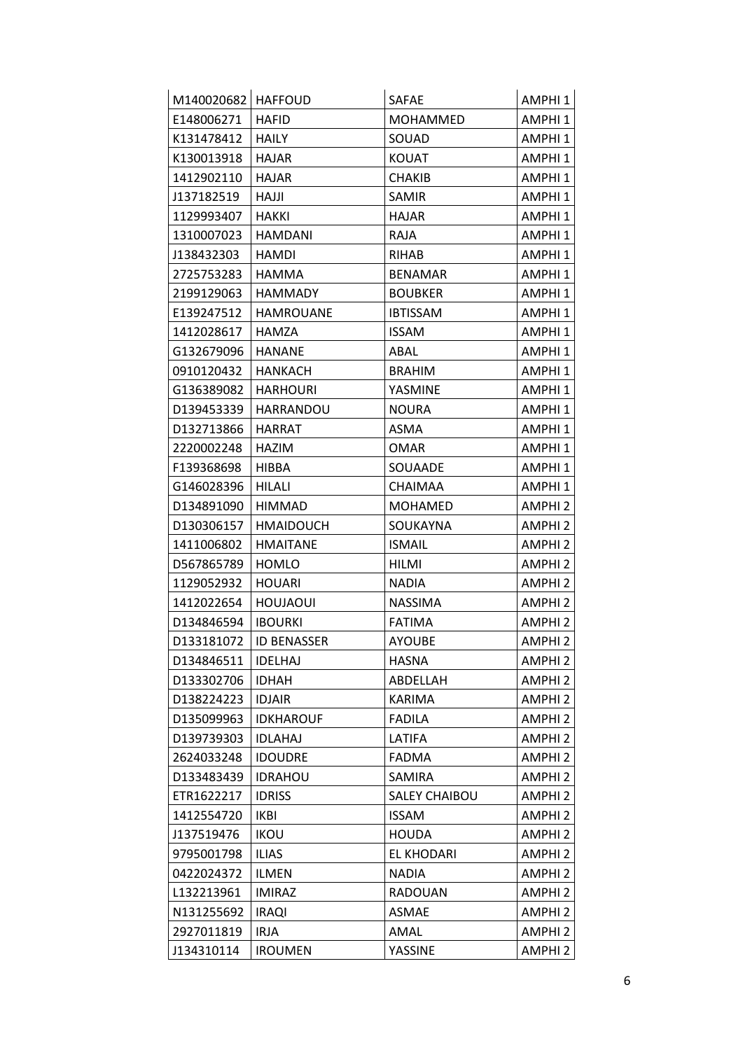| M140020682   HAFFOUD |                    | <b>SAFAE</b>         | AMPHI 1            |
|----------------------|--------------------|----------------------|--------------------|
| E148006271           | <b>HAFID</b>       | <b>MOHAMMED</b>      | AMPHI <sub>1</sub> |
| K131478412           | <b>HAILY</b>       | SOUAD                | AMPHI 1            |
| K130013918           | <b>HAJAR</b>       | <b>KOUAT</b>         | AMPHI 1            |
| 1412902110           | <b>HAJAR</b>       | CHAKIB               | AMPHI <sub>1</sub> |
| J137182519           | HAJJI              | SAMIR                | AMPHI 1            |
| 1129993407           | <b>HAKKI</b>       | <b>HAJAR</b>         | AMPHI <sub>1</sub> |
| 1310007023           | HAMDANI            | RAJA                 | AMPHI 1            |
| J138432303           | HAMDI              | <b>RIHAB</b>         | AMPHI 1            |
| 2725753283           | <b>HAMMA</b>       | <b>BENAMAR</b>       | AMPHI <sub>1</sub> |
| 2199129063           | HAMMADY            | <b>BOUBKER</b>       | AMPHI <sub>1</sub> |
| E139247512           | <b>HAMROUANE</b>   | <b>IBTISSAM</b>      | AMPHI <sub>1</sub> |
| 1412028617           | HAMZA              | <b>ISSAM</b>         | AMPHI 1            |
| G132679096           | HANANE             | ABAL                 | AMPHI <sub>1</sub> |
| 0910120432           | HANKACH            | <b>BRAHIM</b>        | AMPHI 1            |
| G136389082           | <b>HARHOURI</b>    | YASMINE              | AMPHI 1            |
| D139453339           | <b>HARRANDOU</b>   | <b>NOURA</b>         | AMPHI <sub>1</sub> |
| D132713866           | HARRAT             | ASMA                 | AMPHI <sub>1</sub> |
| 2220002248           | HAZIM              | OMAR                 | AMPHI <sub>1</sub> |
| F139368698           | HIBBA              | SOUAADE              | AMPHI <sub>1</sub> |
| G146028396           | HILALI             | CHAIMAA              | AMPHI 1            |
| D134891090           | HIMMAD             | <b>MOHAMED</b>       | <b>AMPHI2</b>      |
| D130306157           | <b>HMAIDOUCH</b>   | <b>SOUKAYNA</b>      | <b>AMPHI2</b>      |
| 1411006802           | <b>HMAITANE</b>    | <b>ISMAIL</b>        | <b>AMPHI2</b>      |
| D567865789           | HOMLO              | HILMI                | AMPHI 2            |
| 1129052932           | <b>HOUARI</b>      | <b>NADIA</b>         | <b>AMPHI2</b>      |
| 1412022654           | HOUJAOUI           | NASSIMA              | AMPHI <sub>2</sub> |
| D134846594           | <b>IBOURKI</b>     | <b>FATIMA</b>        | AMPHI 2            |
| D133181072           | <b>ID BENASSER</b> | <b>AYOUBE</b>        | AMPHI 2            |
| D134846511           | <b>IDELHAJ</b>     | <b>HASNA</b>         | AMPHI 2            |
| D133302706           | <b>IDHAH</b>       | ABDELLAH             | <b>AMPHI2</b>      |
| D138224223           | <b>IDJAIR</b>      | KARIMA               | AMPHI <sub>2</sub> |
| D135099963           | <b>IDKHAROUF</b>   | <b>FADILA</b>        | AMPHI <sub>2</sub> |
| D139739303           | <b>IDLAHAJ</b>     | LATIFA               | <b>AMPHI2</b>      |
| 2624033248           | <b>IDOUDRE</b>     | <b>FADMA</b>         | AMPHI <sub>2</sub> |
| D133483439           | <b>IDRAHOU</b>     | SAMIRA               | <b>AMPHI2</b>      |
| ETR1622217           | <b>IDRISS</b>      | <b>SALEY CHAIBOU</b> | AMPHI <sub>2</sub> |
| 1412554720           | <b>IKBI</b>        | <b>ISSAM</b>         | AMPHI <sub>2</sub> |
| J137519476           | <b>IKOU</b>        | HOUDA                | AMPHI <sub>2</sub> |
| 9795001798           | <b>ILIAS</b>       | EL KHODARI           | AMPHI <sub>2</sub> |
| 0422024372           | <b>ILMEN</b>       | <b>NADIA</b>         | <b>AMPHI2</b>      |
| L132213961           | <b>IMIRAZ</b>      | RADOUAN              | AMPHI <sub>2</sub> |
| N131255692           | <b>IRAQI</b>       | ASMAE                | AMPHI <sub>2</sub> |
| 2927011819           | <b>IRJA</b>        | AMAL                 | AMPHI <sub>2</sub> |
| J134310114           | <b>IROUMEN</b>     | YASSINE              | AMPHI 2            |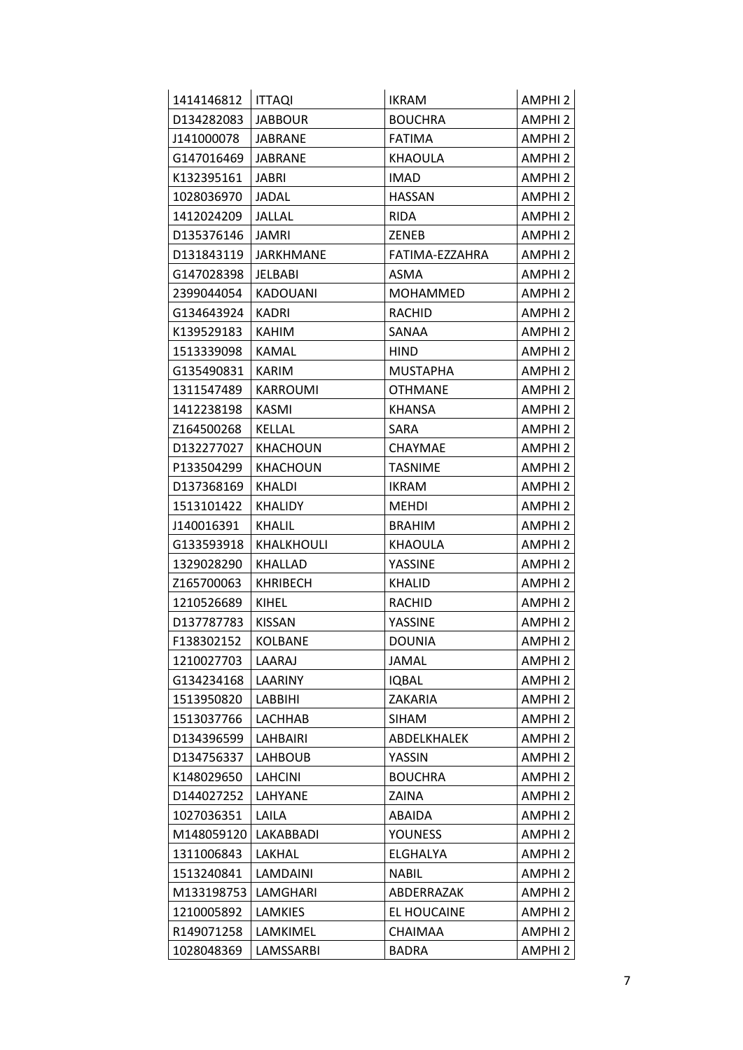| 1414146812 | <b>ITTAQI</b>    | <b>IKRAM</b>    | AMPHI <sub>2</sub> |
|------------|------------------|-----------------|--------------------|
| D134282083 | <b>JABBOUR</b>   | <b>BOUCHRA</b>  | AMPHI <sub>2</sub> |
| J141000078 | <b>JABRANE</b>   | <b>FATIMA</b>   | AMPHI <sub>2</sub> |
| G147016469 | <b>JABRANE</b>   | <b>KHAOULA</b>  | AMPHI <sub>2</sub> |
| K132395161 | JABRI            | <b>IMAD</b>     | AMPHI <sub>2</sub> |
| 1028036970 | JADAL            | <b>HASSAN</b>   | AMPHI <sub>2</sub> |
| 1412024209 | JALLAL           | <b>RIDA</b>     | AMPHI <sub>2</sub> |
| D135376146 | JAMRI            | ZENEB           | AMPHI <sub>2</sub> |
| D131843119 | <b>JARKHMANE</b> | FATIMA-EZZAHRA  | AMPHI <sub>2</sub> |
| G147028398 | JELBABI          | ASMA            | AMPHI <sub>2</sub> |
| 2399044054 | <b>KADOUANI</b>  | <b>MOHAMMED</b> | AMPHI <sub>2</sub> |
| G134643924 | KADRI            | <b>RACHID</b>   | AMPHI <sub>2</sub> |
| K139529183 | KAHIM            | SANAA           | AMPHI <sub>2</sub> |
| 1513339098 | KAMAL            | HIND            | <b>AMPHI2</b>      |
| G135490831 | KARIM            | <b>MUSTAPHA</b> | AMPHI <sub>2</sub> |
| 1311547489 | <b>KARROUMI</b>  | <b>OTHMANE</b>  | AMPHI <sub>2</sub> |
| 1412238198 | KASMI            | <b>KHANSA</b>   | <b>AMPHI2</b>      |
| Z164500268 | <b>KELLAL</b>    | SARA            | AMPHI <sub>2</sub> |
| D132277027 | <b>KHACHOUN</b>  | <b>CHAYMAE</b>  | AMPHI <sub>2</sub> |
| P133504299 | KHACHOUN         | <b>TASNIME</b>  | AMPHI <sub>2</sub> |
| D137368169 | <b>KHALDI</b>    | <b>IKRAM</b>    | AMPHI <sub>2</sub> |
| 1513101422 | KHALIDY          | <b>MEHDI</b>    | AMPHI <sub>2</sub> |
| J140016391 | <b>KHALIL</b>    | <b>BRAHIM</b>   | <b>AMPHI2</b>      |
| G133593918 | KHALKHOULI       | KHAOULA         | <b>AMPHI2</b>      |
| 1329028290 | KHALLAD          | YASSINE         | AMPHI <sub>2</sub> |
| Z165700063 | KHRIBECH         | KHALID          | <b>AMPHI2</b>      |
| 1210526689 | KIHEL            | <b>RACHID</b>   | <b>AMPHI2</b>      |
| D137787783 | <b>KISSAN</b>    | YASSINE         | AMPHI <sub>2</sub> |
| F138302152 | <b>KOLBANE</b>   | <b>DOUNIA</b>   | AMPHI <sub>2</sub> |
| 1210027703 | LAARAJ           | JAMAL           | AMPHI <sub>2</sub> |
| G134234168 | LAARINY          | <b>IQBAL</b>    | <b>AMPHI2</b>      |
| 1513950820 | <b>LABBIHI</b>   | <b>ZAKARIA</b>  | AMPHI <sub>2</sub> |
| 1513037766 | LACHHAB          | <b>SIHAM</b>    | AMPHI <sub>2</sub> |
| D134396599 | LAHBAIRI         | ABDELKHALEK     | <b>AMPHI2</b>      |
| D134756337 | LAHBOUB          | YASSIN          | AMPHI <sub>2</sub> |
| K148029650 | <b>LAHCINI</b>   | <b>BOUCHRA</b>  | AMPHI <sub>2</sub> |
| D144027252 | LAHYANE          | ZAINA           | AMPHI <sub>2</sub> |
| 1027036351 | LAILA            | ABAIDA          | AMPHI <sub>2</sub> |
| M148059120 | LAKABBADI        | <b>YOUNESS</b>  | AMPHI <sub>2</sub> |
| 1311006843 | LAKHAL           | ELGHALYA        | <b>AMPHI2</b>      |
| 1513240841 | LAMDAINI         | <b>NABIL</b>    | AMPHI <sub>2</sub> |
| M133198753 | LAMGHARI         | ABDERRAZAK      | AMPHI <sub>2</sub> |
| 1210005892 | LAMKIES          | EL HOUCAINE     | <b>AMPHI2</b>      |
| R149071258 | LAMKIMEL         | CHAIMAA         | <b>AMPHI2</b>      |
| 1028048369 | LAMSSARBI        | <b>BADRA</b>    | AMPHI <sub>2</sub> |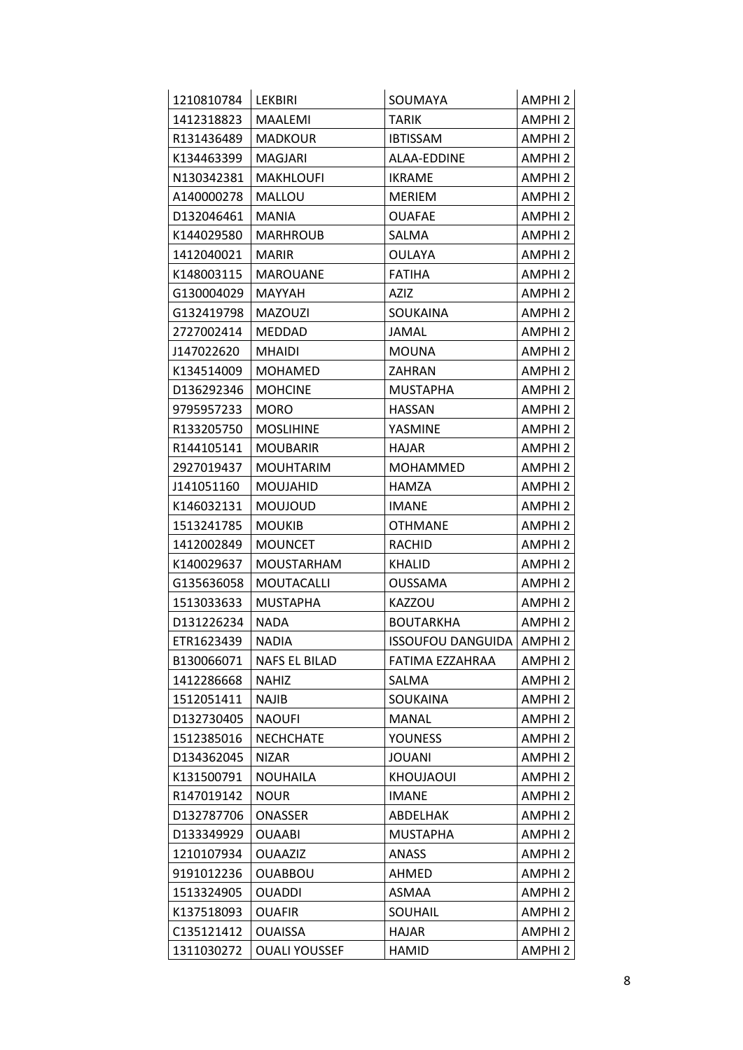| 1210810784 | <b>LEKBIRI</b>       | SOUMAYA                            | AMPHI <sub>2</sub> |
|------------|----------------------|------------------------------------|--------------------|
| 1412318823 | <b>MAALEMI</b>       | TARIK                              | AMPHI <sub>2</sub> |
| R131436489 | <b>MADKOUR</b>       | <b>IBTISSAM</b>                    | AMPHI <sub>2</sub> |
| K134463399 | <b>MAGJARI</b>       | ALAA-EDDINE                        | AMPHI <sub>2</sub> |
| N130342381 | <b>MAKHLOUFI</b>     | <b>IKRAME</b>                      | AMPHI <sub>2</sub> |
| A140000278 | MALLOU               | <b>MERIEM</b>                      | AMPHI <sub>2</sub> |
| D132046461 | <b>MANIA</b>         | <b>OUAFAE</b>                      | <b>AMPHI2</b>      |
| K144029580 | <b>MARHROUB</b>      | SALMA                              | AMPHI <sub>2</sub> |
| 1412040021 | <b>MARIR</b>         | OULAYA                             | AMPHI <sub>2</sub> |
| K148003115 | <b>MAROUANE</b>      | <b>FATIHA</b>                      | AMPHI <sub>2</sub> |
| G130004029 | MAYYAH               | AZIZ                               | AMPHI <sub>2</sub> |
| G132419798 | <b>MAZOUZI</b>       | SOUKAINA                           | <b>AMPHI2</b>      |
| 2727002414 | <b>MEDDAD</b>        | JAMAL                              | AMPHI <sub>2</sub> |
| J147022620 | <b>MHAIDI</b>        | <b>MOUNA</b>                       | AMPHI <sub>2</sub> |
| K134514009 | <b>MOHAMED</b>       | ZAHRAN                             | AMPHI <sub>2</sub> |
| D136292346 | <b>MOHCINE</b>       | <b>MUSTAPHA</b>                    | <b>AMPHI2</b>      |
| 9795957233 | <b>MORO</b>          | <b>HASSAN</b>                      | <b>AMPHI2</b>      |
| R133205750 | <b>MOSLIHINE</b>     | YASMINE                            | AMPHI <sub>2</sub> |
| R144105141 | <b>MOUBARIR</b>      | HAJAR                              | AMPHI <sub>2</sub> |
| 2927019437 | <b>MOUHTARIM</b>     | <b>MOHAMMED</b>                    | AMPHI <sub>2</sub> |
| J141051160 | MOUJAHID             | <b>HAMZA</b>                       | AMPHI <sub>2</sub> |
| K146032131 | MOUJOUD              | <b>IMANE</b>                       | AMPHI <sub>2</sub> |
| 1513241785 | <b>MOUKIB</b>        | <b>OTHMANE</b>                     | AMPHI <sub>2</sub> |
| 1412002849 | <b>MOUNCET</b>       | <b>RACHID</b>                      | AMPHI <sub>2</sub> |
| K140029637 | <b>MOUSTARHAM</b>    | KHALID                             | AMPHI <sub>2</sub> |
| G135636058 | MOUTACALLI           | <b>OUSSAMA</b>                     | AMPHI <sub>2</sub> |
| 1513033633 | <b>MUSTAPHA</b>      | <b>KAZZOU</b>                      | AMPHI <sub>2</sub> |
| D131226234 | <b>NADA</b>          | <b>BOUTARKHA</b>                   | AMPHI <sub>2</sub> |
| ETR1623439 | <b>NADIA</b>         | <b>ISSOUFOU DANGUIDA   AMPHI 2</b> |                    |
| B130066071 | NAFS EL BILAD        | FATIMA EZZAHRAA                    | <b>AMPHI2</b>      |
| 1412286668 | <b>NAHIZ</b>         | SALMA                              | <b>AMPHI2</b>      |
| 1512051411 | <b>NAJIB</b>         | SOUKAINA                           | AMPHI <sub>2</sub> |
| D132730405 | <b>NAOUFI</b>        | <b>MANAL</b>                       | AMPHI <sub>2</sub> |
| 1512385016 | <b>NECHCHATE</b>     | <b>YOUNESS</b>                     | <b>AMPHI2</b>      |
| D134362045 | <b>NIZAR</b>         | JOUANI                             | <b>AMPHI2</b>      |
| K131500791 | <b>NOUHAILA</b>      | KHOUJAOUI                          | <b>AMPHI2</b>      |
| R147019142 | <b>NOUR</b>          | <b>IMANE</b>                       | AMPHI <sub>2</sub> |
| D132787706 | <b>ONASSER</b>       | ABDELHAK                           | AMPHI <sub>2</sub> |
| D133349929 | <b>OUAABI</b>        | <b>MUSTAPHA</b>                    | AMPHI <sub>2</sub> |
| 1210107934 | <b>OUAAZIZ</b>       | ANASS                              | AMPHI <sub>2</sub> |
| 9191012236 | <b>OUABBOU</b>       | AHMED                              | <b>AMPHI2</b>      |
| 1513324905 | <b>OUADDI</b>        | ASMAA                              | AMPHI <sub>2</sub> |
| K137518093 | <b>OUAFIR</b>        | SOUHAIL                            | <b>AMPHI2</b>      |
| C135121412 | <b>OUAISSA</b>       | HAJAR                              | <b>AMPHI2</b>      |
| 1311030272 | <b>OUALI YOUSSEF</b> | <b>HAMID</b>                       | AMPHI <sub>2</sub> |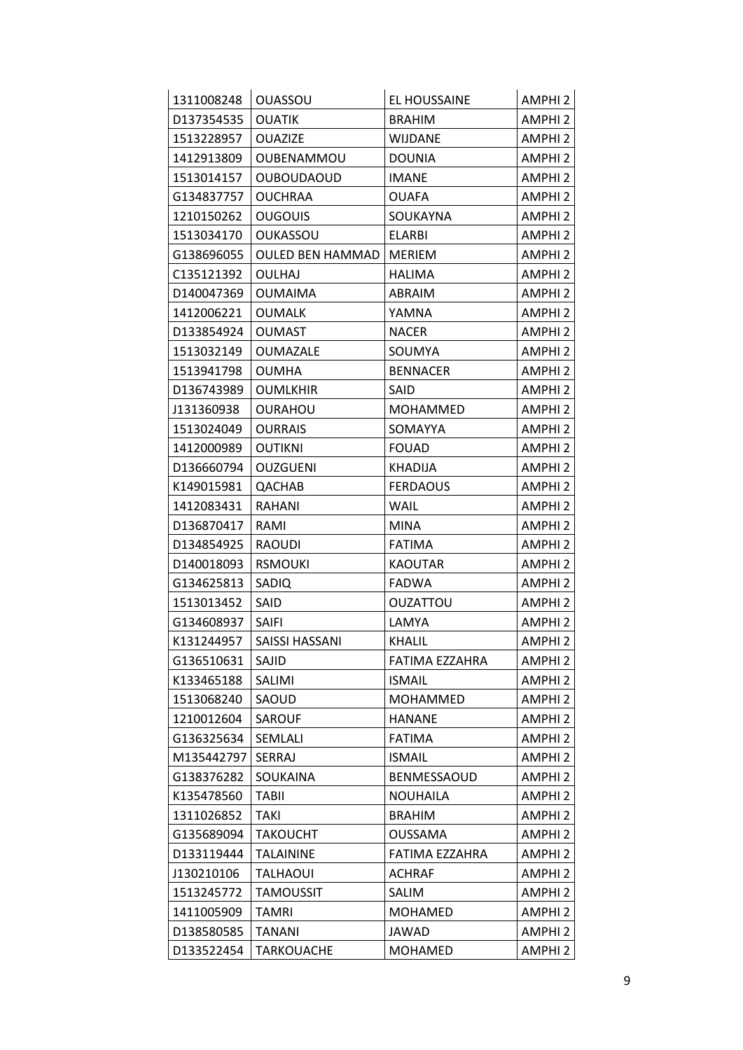| 1311008248 | <b>OUASSOU</b>          | EL HOUSSAINE    | AMPHI <sub>2</sub> |
|------------|-------------------------|-----------------|--------------------|
| D137354535 | <b>OUATIK</b>           | <b>BRAHIM</b>   | AMPHI <sub>2</sub> |
| 1513228957 | <b>OUAZIZE</b>          | <b>WIJDANE</b>  | AMPHI <sub>2</sub> |
| 1412913809 | OUBENAMMOU              | <b>DOUNIA</b>   | AMPHI <sub>2</sub> |
| 1513014157 | <b>OUBOUDAOUD</b>       | <b>IMANE</b>    | AMPHI <sub>2</sub> |
| G134837757 | <b>OUCHRAA</b>          | <b>OUAFA</b>    | <b>AMPHI2</b>      |
| 1210150262 | <b>OUGOUIS</b>          | SOUKAYNA        | <b>AMPHI2</b>      |
| 1513034170 | <b>OUKASSOU</b>         | <b>ELARBI</b>   | AMPHI <sub>2</sub> |
| G138696055 | <b>OULED BEN HAMMAD</b> | MERIEM          | AMPHI <sub>2</sub> |
| C135121392 | <b>OULHAJ</b>           | <b>HALIMA</b>   | AMPHI <sub>2</sub> |
| D140047369 | <b>OUMAIMA</b>          | ABRAIM          | AMPHI <sub>2</sub> |
| 1412006221 | <b>OUMALK</b>           | YAMNA           | <b>AMPHI2</b>      |
| D133854924 | <b>OUMAST</b>           | <b>NACER</b>    | AMPHI <sub>2</sub> |
| 1513032149 | <b>OUMAZALE</b>         | SOUMYA          | <b>AMPHI2</b>      |
| 1513941798 | <b>OUMHA</b>            | <b>BENNACER</b> | AMPHI <sub>2</sub> |
| D136743989 | <b>OUMLKHIR</b>         | SAID            | AMPHI <sub>2</sub> |
| J131360938 | <b>OURAHOU</b>          | MOHAMMED        | <b>AMPHI2</b>      |
| 1513024049 | <b>OURRAIS</b>          | SOMAYYA         | AMPHI <sub>2</sub> |
| 1412000989 | <b>OUTIKNI</b>          | <b>FOUAD</b>    | <b>AMPHI2</b>      |
| D136660794 | <b>OUZGUENI</b>         | <b>KHADIJA</b>  | AMPHI <sub>2</sub> |
| K149015981 | QACHAB                  | <b>FERDAOUS</b> | AMPHI <sub>2</sub> |
| 1412083431 | RAHANI                  | WAIL            | AMPHI <sub>2</sub> |
| D136870417 | RAMI                    | MINA            | AMPHI <sub>2</sub> |
| D134854925 | RAOUDI                  | <b>FATIMA</b>   | <b>AMPHI2</b>      |
| D140018093 | <b>RSMOUKI</b>          | <b>KAOUTAR</b>  | AMPHI <sub>2</sub> |
| G134625813 | SADIQ                   | <b>FADWA</b>    | AMPHI <sub>2</sub> |
| 1513013452 | SAID                    | <b>OUZATTOU</b> | AMPHI <sub>2</sub> |
| G134608937 | SAIFI                   | LAMYA           | AMPHI <sub>2</sub> |
| K131244957 | SAISSI HASSANI          | KHALIL          | <b>AMPHI2</b>      |
| G136510631 | SAJID                   | FATIMA EZZAHRA  | <b>AMPHI2</b>      |
| K133465188 | SALIMI                  | <b>ISMAIL</b>   | <b>AMPHI2</b>      |
| 1513068240 | SAOUD                   | <b>MOHAMMED</b> | <b>AMPHI2</b>      |
| 1210012604 | SAROUF                  | <b>HANANE</b>   | <b>AMPHI2</b>      |
| G136325634 | SEMLALI                 | <b>FATIMA</b>   | AMPHI <sub>2</sub> |
| M135442797 | SERRAJ                  | <b>ISMAIL</b>   | <b>AMPHI2</b>      |
| G138376282 | SOUKAINA                | BENMESSAOUD     | <b>AMPHI2</b>      |
| K135478560 | <b>TABII</b>            | <b>NOUHAILA</b> | AMPHI <sub>2</sub> |
| 1311026852 | <b>TAKI</b>             | <b>BRAHIM</b>   | <b>AMPHI2</b>      |
| G135689094 | <b>TAKOUCHT</b>         | <b>OUSSAMA</b>  | AMPHI <sub>2</sub> |
| D133119444 | <b>TALAININE</b>        | FATIMA EZZAHRA  | AMPHI <sub>2</sub> |
| J130210106 | <b>TALHAOUI</b>         | <b>ACHRAF</b>   | AMPHI <sub>2</sub> |
| 1513245772 | <b>TAMOUSSIT</b>        | SALIM           | <b>AMPHI2</b>      |
| 1411005909 | <b>TAMRI</b>            | <b>MOHAMED</b>  | <b>AMPHI2</b>      |
| D138580585 | <b>TANANI</b>           | JAWAD           | <b>AMPHI2</b>      |
| D133522454 | <b>TARKOUACHE</b>       | MOHAMED         | AMPHI <sub>2</sub> |